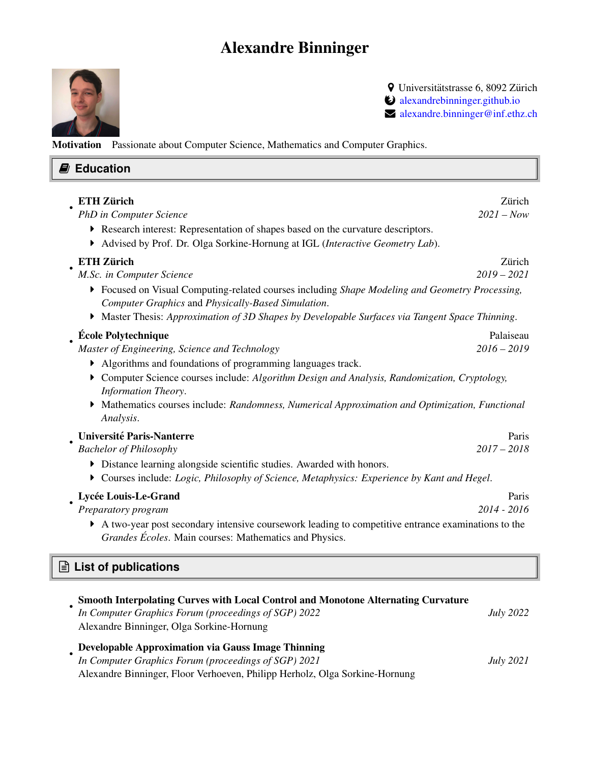## Alexandre Binninger



**9** Universitätstrasse 6, 8092 Zürich º [alexandrebinninger.github.io](https://alexandrebinninger.github.io)  $\blacktriangleright$  [alexandre.binninger@inf.ethz.ch](mailto:alexandre.binninger@inf.ethz.ch)

Motivation Passionate about Computer Science, Mathematics and Computer Graphics.

| <b>E</b> Education                                                                                                                                                                                                                                                                                                                                                                                                                                                                                     |                            |  |
|--------------------------------------------------------------------------------------------------------------------------------------------------------------------------------------------------------------------------------------------------------------------------------------------------------------------------------------------------------------------------------------------------------------------------------------------------------------------------------------------------------|----------------------------|--|
| <b>ETH Zürich</b><br>PhD in Computer Science<br>Research interest: Representation of shapes based on the curvature descriptors.<br>Advised by Prof. Dr. Olga Sorkine-Hornung at IGL (Interactive Geometry Lab).                                                                                                                                                                                                                                                                                        | Zürich<br>$2021 - Now$     |  |
| <b>ETH Zürich</b><br>M.Sc. in Computer Science<br>Focused on Visual Computing-related courses including Shape Modeling and Geometry Processing,<br>Computer Graphics and Physically-Based Simulation.                                                                                                                                                                                                                                                                                                  | Zürich<br>$2019 - 2021$    |  |
| $\blacktriangleright$ Master Thesis: Approximation of 3D Shapes by Developable Surfaces via Tangent Space Thinning.<br><b>École Polytechnique</b><br>Master of Engineering, Science and Technology<br>• Algorithms and foundations of programming languages track.<br>Computer Science courses include: Algorithm Design and Analysis, Randomization, Cryptology,<br>Information Theory.<br>Mathematics courses include: Randomness, Numerical Approximation and Optimization, Functional<br>Analysis. | Palaiseau<br>$2016 - 2019$ |  |
| Université Paris-Nanterre<br><b>Bachelor of Philosophy</b><br>• Distance learning alongside scientific studies. Awarded with honors.<br>Courses include: Logic, Philosophy of Science, Metaphysics: Experience by Kant and Hegel.                                                                                                                                                                                                                                                                      | Paris<br>$2017 - 2018$     |  |
| Lycée Louis-Le-Grand<br>Preparatory program<br>A two-year post secondary intensive coursework leading to competitive entrance examinations to the<br>Grandes Écoles. Main courses: Mathematics and Physics.                                                                                                                                                                                                                                                                                            | Paris<br>2014 - 2016       |  |
| $\Box$ List of publications                                                                                                                                                                                                                                                                                                                                                                                                                                                                            |                            |  |
| Smooth Interpolating Curves with Local Control and Monotone Alternating Curvature<br>$\mathbf{r}$ $\mathbf{r}$ $\mathbf{r}$ $\mathbf{r}$ $\mathbf{r}$ $\mathbf{r}$ $\mathbf{r}$ $\mathbf{r}$ $\mathbf{r}$ $\mathbf{r}$ $\mathbf{r}$ $\mathbf{r}$ $\mathbf{r}$ $\mathbf{r}$ $\mathbf{r}$ $\mathbf{r}$ $\mathbf{r}$ $\mathbf{r}$ $\mathbf{r}$ $\mathbf{r}$ $\mathbf{r}$ $\mathbf{r}$ $\mathbf{r}$ $\mathbf{r}$ $\mathbf{$<br>1, 2022                                                                     |                            |  |

| In Computer Graphics Forum (proceedings of SGP) 2022      | <b>July 2022</b> |
|-----------------------------------------------------------|------------------|
| Alexandre Binninger, Olga Sorkine-Hornung                 |                  |
| <b>Developable Approximation via Gauss Image Thinning</b> |                  |
| In Computer Graphics Forum (proceedings of SGP) 2021      | <i>July</i> 2021 |

Alexandre Binninger, Floor Verhoeven, Philipp Herholz, Olga Sorkine-Hornung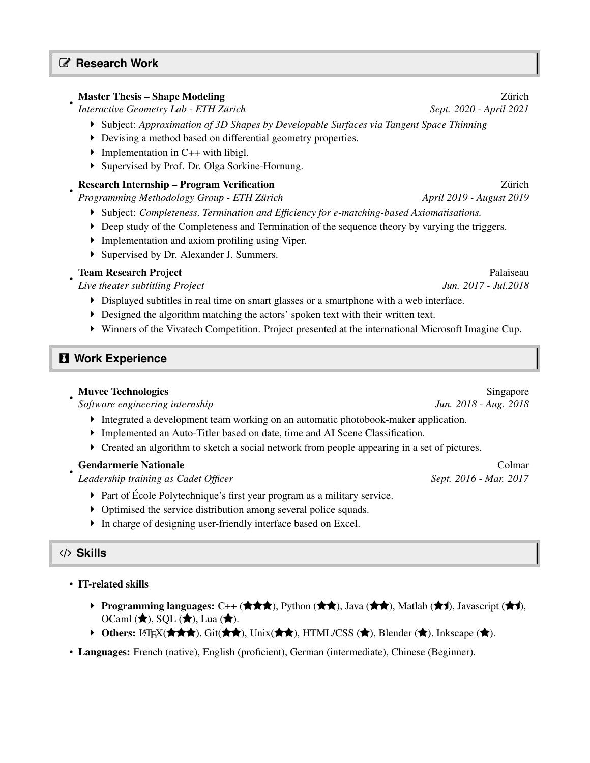### L **Research Work**

•

•

### Master Thesis – Shape Modeling Zurich ¨

*Interactive Geometry Lab - ETH Zürich*  $Sept. 2020 - April 2021$ 

- Subject: *Approximation of 3D Shapes by Developable Surfaces via Tangent Space Thinning*
- Devising a method based on differential geometry properties.
- Implementation in  $C++$  with libigl.
- Supervised by Prof. Dr. Olga Sorkine-Hornung.

### Research Internship – Program Verification Zurich ¨

*Programming Methodology Group - ETH Zürich* April 2019 - August 2019 - *August 2019* 

- Subject: *Completeness, Termination and Efficiency for e-matching-based Axiomatisations.*
- Deep study of the Completeness and Termination of the sequence theory by varying the triggers.
- Implementation and axiom profiling using Viper.
- Supervised by Dr. Alexander J. Summers.

### • **Team Research Project Palaiseau Palaiseau Palaiseau**

*Live theater subtitling Project Jun. 2017 - Jul.2018*

- Displayed subtitles in real time on smart glasses or a smartphone with a web interface.
- $\triangleright$  Designed the algorithm matching the actors' spoken text with their written text.
- Winners of the Vivatech Competition. Project presented at the international Microsoft Imagine Cup.

## **f** Work Experience

*Software engineering internship Jun. 2018 - Aug. 2018*

- Integrated a development team working on an automatic photobook-maker application.
- Implemented an Auto-Titler based on date, time and AI Scene Classification.
- Created an algorithm to sketch a social network from people appearing in a set of pictures.

### Gendarmerie Nationale **Colmarcial Colmarcial Colmarcial Colmarcial Colmarcial Colmarcial Colmarcial Colmarcial Colmarcial Colmarcial Colmarcial Colmarcial Colmarcial Colmarcial Colmarcial Colmarcial Colmarcial Colmarcial C**

*Leadership training as Cadet Officer* Sept. 2016 - Mar. 2017

- Part of École Polytechnique's first year program as a military service.
- Optimised the service distribution among several police squads.
- In charge of designing user-friendly interface based on Excel.

### / **Skills**

•

### • IT-related skills

- Programming languages: C++ ( $\bigstar \bigstar$ ), Python ( $\bigstar \bigstar$ ), Java ( $\bigstar \bigstar$ ), Matlab ( $\bigstar$ ), Javascript ( $\bigstar$ ), OCaml  $(\bigstar)$ , SQL  $(\bigstar)$ , Lua  $(\bigstar)$ .
- Others: LATEX( $\star \star \star$ ), Git( $\star \star$ ), Unix( $\star \star$ ), HTML/CSS ( $\star$ ), Blender ( $\star$ ), Inkscape ( $\star$ ).
- Languages: French (native), English (proficient), German (intermediate), Chinese (Beginner).

# • Muvee Technologies Singapore Singapore Singapore Singapore Singapore Singapore Singapore Singapore Singapore Singapore Singapore Singapore Singapore Singapore Singapore Singapore Singapore Singapore Singapore Singapore S